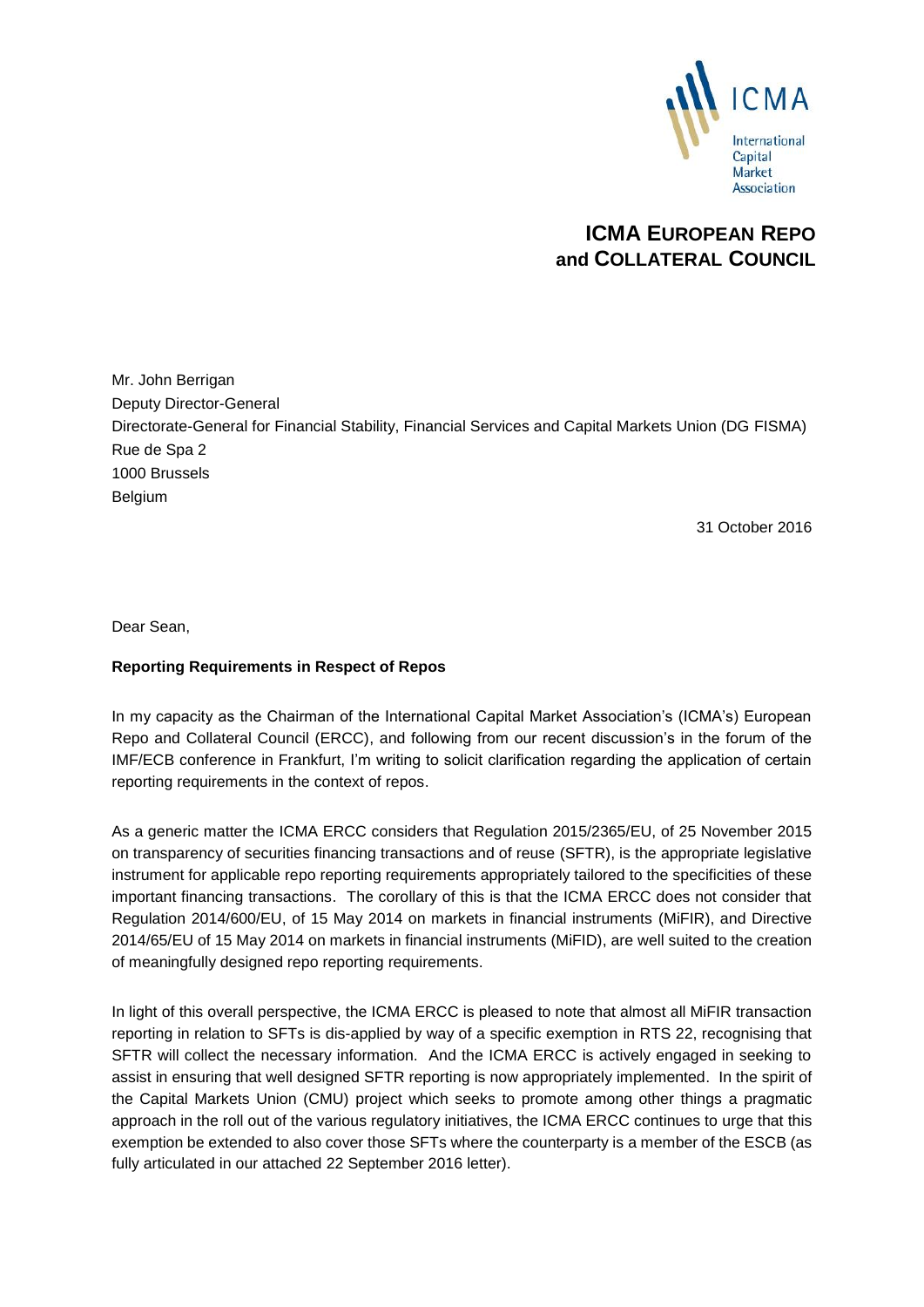

# **ICMA EUROPEAN REPO and COLLATERAL COUNCIL**

Mr. John Berrigan Deputy Director-General Directorate-General for Financial Stability, Financial Services and Capital Markets Union (DG FISMA) Rue de Spa 2 1000 Brussels **Belgium** 

31 October 2016

Dear Sean,

## **Reporting Requirements in Respect of Repos**

In my capacity as the Chairman of the International Capital Market Association's (ICMA's) European Repo and Collateral Council (ERCC), and following from our recent discussion's in the forum of the IMF/ECB conference in Frankfurt, I'm writing to solicit clarification regarding the application of certain reporting requirements in the context of repos.

As a generic matter the ICMA ERCC considers that Regulation 2015/2365/EU, of 25 November 2015 on transparency of securities financing transactions and of reuse (SFTR), is the appropriate legislative instrument for applicable repo reporting requirements appropriately tailored to the specificities of these important financing transactions. The corollary of this is that the ICMA ERCC does not consider that Regulation 2014/600/EU, of 15 May 2014 on markets in financial instruments (MiFIR), and Directive 2014/65/EU of 15 May 2014 on markets in financial instruments (MiFID), are well suited to the creation of meaningfully designed repo reporting requirements.

In light of this overall perspective, the ICMA ERCC is pleased to note that almost all MiFIR transaction reporting in relation to SFTs is dis-applied by way of a specific exemption in RTS 22, recognising that SFTR will collect the necessary information. And the ICMA ERCC is actively engaged in seeking to assist in ensuring that well designed SFTR reporting is now appropriately implemented. In the spirit of the Capital Markets Union (CMU) project which seeks to promote among other things a pragmatic approach in the roll out of the various regulatory initiatives, the ICMA ERCC continues to urge that this exemption be extended to also cover those SFTs where the counterparty is a member of the ESCB (as fully articulated in our attached 22 September 2016 letter).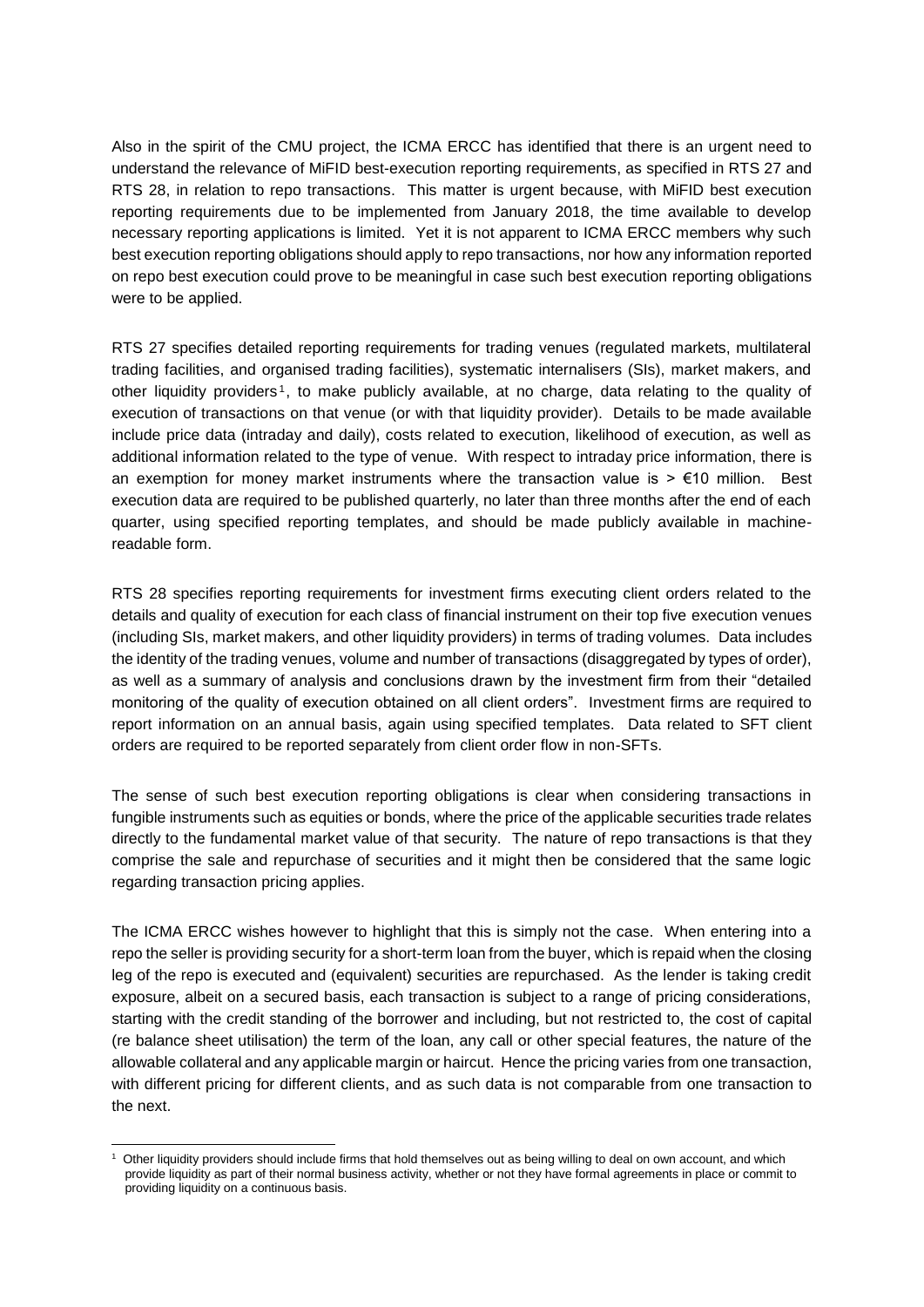Also in the spirit of the CMU project, the ICMA ERCC has identified that there is an urgent need to understand the relevance of MiFID best-execution reporting requirements, as specified in RTS 27 and RTS 28, in relation to repo transactions. This matter is urgent because, with MiFID best execution reporting requirements due to be implemented from January 2018, the time available to develop necessary reporting applications is limited. Yet it is not apparent to ICMA ERCC members why such best execution reporting obligations should apply to repo transactions, nor how any information reported on repo best execution could prove to be meaningful in case such best execution reporting obligations were to be applied.

RTS 27 specifies detailed reporting requirements for trading venues (regulated markets, multilateral trading facilities, and organised trading facilities), systematic internalisers (SIs), market makers, and other liquidity providers<sup>1</sup>, to make publicly available, at no charge, data relating to the quality of execution of transactions on that venue (or with that liquidity provider). Details to be made available include price data (intraday and daily), costs related to execution, likelihood of execution, as well as additional information related to the type of venue. With respect to intraday price information, there is an exemption for money market instruments where the transaction value is  $> \epsilon$ 10 million. Best execution data are required to be published quarterly, no later than three months after the end of each quarter, using specified reporting templates, and should be made publicly available in machinereadable form.

RTS 28 specifies reporting requirements for investment firms executing client orders related to the details and quality of execution for each class of financial instrument on their top five execution venues (including SIs, market makers, and other liquidity providers) in terms of trading volumes. Data includes the identity of the trading venues, volume and number of transactions (disaggregated by types of order), as well as a summary of analysis and conclusions drawn by the investment firm from their "detailed monitoring of the quality of execution obtained on all client orders". Investment firms are required to report information on an annual basis, again using specified templates. Data related to SFT client orders are required to be reported separately from client order flow in non-SFTs.

The sense of such best execution reporting obligations is clear when considering transactions in fungible instruments such as equities or bonds, where the price of the applicable securities trade relates directly to the fundamental market value of that security. The nature of repo transactions is that they comprise the sale and repurchase of securities and it might then be considered that the same logic regarding transaction pricing applies.

The ICMA ERCC wishes however to highlight that this is simply not the case. When entering into a repo the seller is providing security for a short-term loan from the buyer, which is repaid when the closing leg of the repo is executed and (equivalent) securities are repurchased. As the lender is taking credit exposure, albeit on a secured basis, each transaction is subject to a range of pricing considerations, starting with the credit standing of the borrower and including, but not restricted to, the cost of capital (re balance sheet utilisation) the term of the loan, any call or other special features, the nature of the allowable collateral and any applicable margin or haircut. Hence the pricing varies from one transaction, with different pricing for different clients, and as such data is not comparable from one transaction to the next.

<sup>-</sup><sup>1</sup> Other liquidity providers should include firms that hold themselves out as being willing to deal on own account, and which provide liquidity as part of their normal business activity, whether or not they have formal agreements in place or commit to providing liquidity on a continuous basis.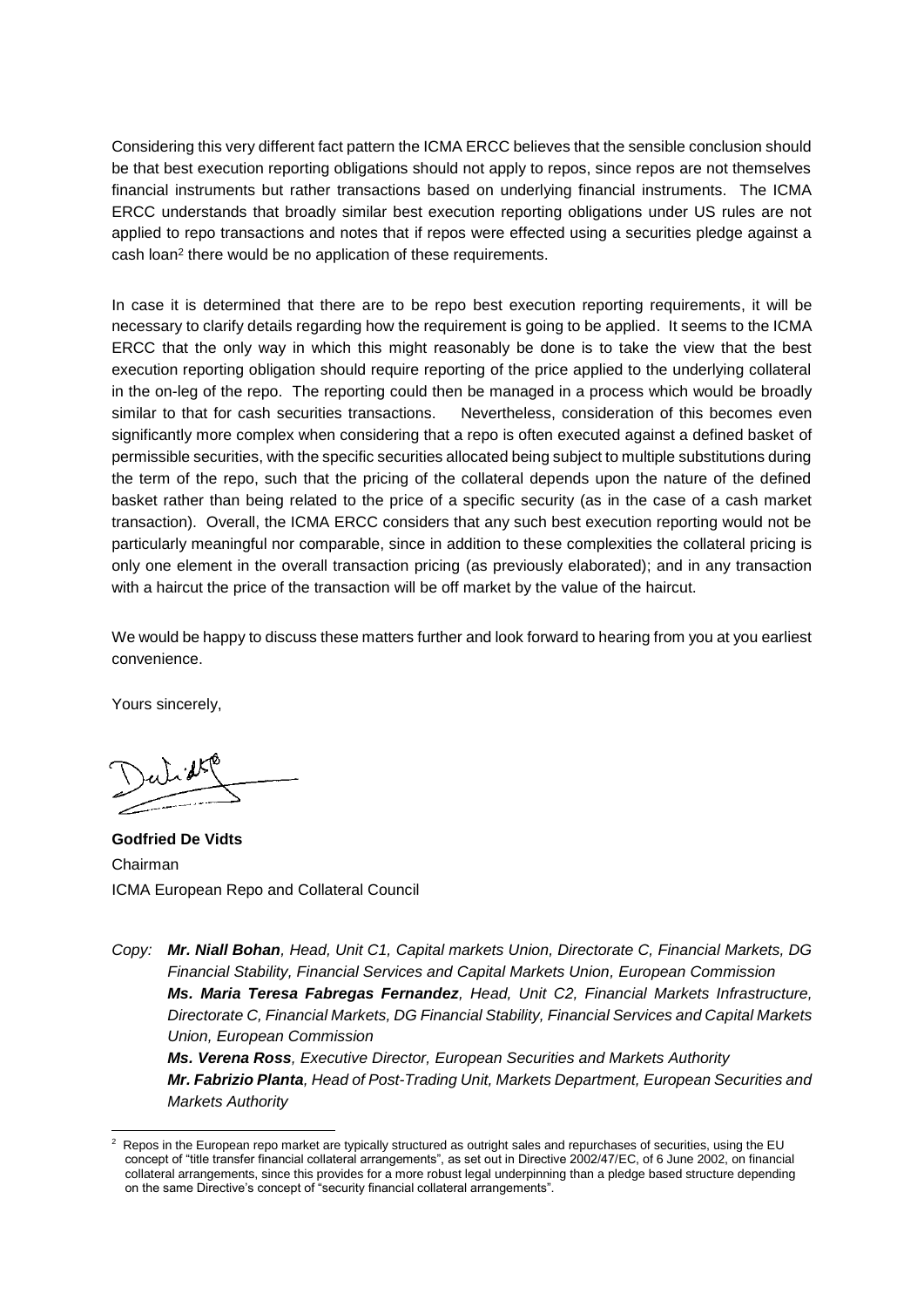Considering this very different fact pattern the ICMA ERCC believes that the sensible conclusion should be that best execution reporting obligations should not apply to repos, since repos are not themselves financial instruments but rather transactions based on underlying financial instruments. The ICMA ERCC understands that broadly similar best execution reporting obligations under US rules are not applied to repo transactions and notes that if repos were effected using a securities pledge against a cash loan<sup>2</sup> there would be no application of these requirements.

In case it is determined that there are to be repo best execution reporting requirements, it will be necessary to clarify details regarding how the requirement is going to be applied. It seems to the ICMA ERCC that the only way in which this might reasonably be done is to take the view that the best execution reporting obligation should require reporting of the price applied to the underlying collateral in the on-leg of the repo. The reporting could then be managed in a process which would be broadly similar to that for cash securities transactions. Nevertheless, consideration of this becomes even significantly more complex when considering that a repo is often executed against a defined basket of permissible securities, with the specific securities allocated being subject to multiple substitutions during the term of the repo, such that the pricing of the collateral depends upon the nature of the defined basket rather than being related to the price of a specific security (as in the case of a cash market transaction). Overall, the ICMA ERCC considers that any such best execution reporting would not be particularly meaningful nor comparable, since in addition to these complexities the collateral pricing is only one element in the overall transaction pricing (as previously elaborated); and in any transaction with a haircut the price of the transaction will be off market by the value of the haircut.

We would be happy to discuss these matters further and look forward to hearing from you at you earliest convenience.

Yours sincerely,

-

**Godfried De Vidts**  Chairman ICMA European Repo and Collateral Council

*Copy: Mr. Niall Bohan, Head, Unit C1, Capital markets Union, Directorate C, Financial Markets, DG Financial Stability, Financial Services and Capital Markets Union, European Commission Ms. Maria Teresa Fabregas Fernandez, Head, Unit C2, Financial Markets Infrastructure, Directorate C, Financial Markets, DG Financial Stability, Financial Services and Capital Markets Union, European Commission*

*Ms. Verena Ross, Executive Director, European Securities and Markets Authority Mr. Fabrizio Planta, Head of Post-Trading Unit, Markets Department, European Securities and Markets Authority*

<sup>2</sup> Repos in the European repo market are typically structured as outright sales and repurchases of securities, using the EU concept of "title transfer financial collateral arrangements", as set out in Directive 2002/47/EC, of 6 June 2002, on financial collateral arrangements, since this provides for a more robust legal underpinning than a pledge based structure depending on the same Directive's concept of "security financial collateral arrangements".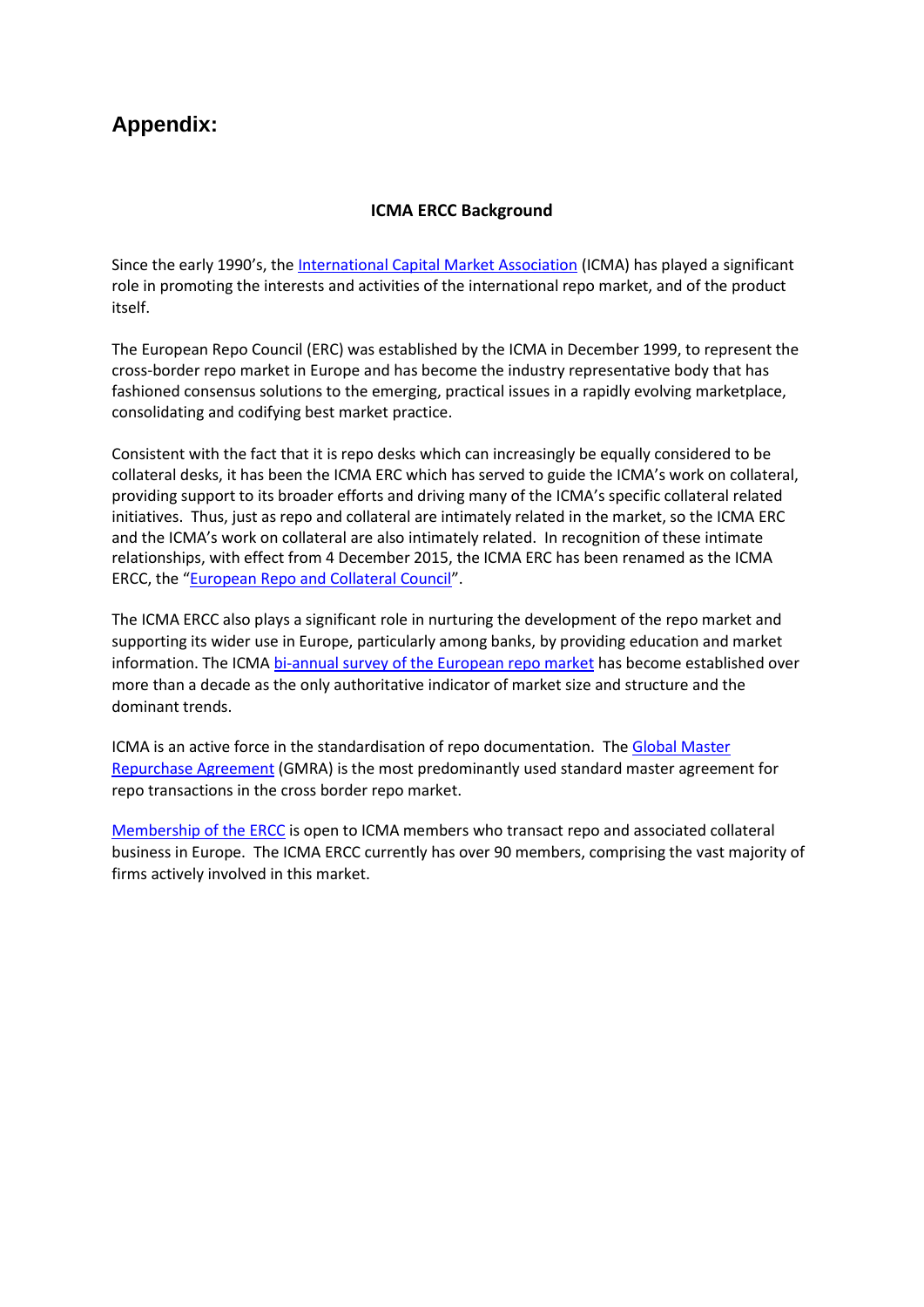# **Appendix:**

# **ICMA ERCC Background**

Since the early 1990's, the [International Capital Market Association](http://www.icmagroup.org/) (ICMA) has played a significant role in promoting the interests and activities of the international repo market, and of the product itself.

The European Repo Council (ERC) was established by the ICMA in December 1999, to represent the cross-border repo market in Europe and has become the industry representative body that has fashioned consensus solutions to the emerging, practical issues in a rapidly evolving marketplace, consolidating and codifying best market practice.

Consistent with the fact that it is repo desks which can increasingly be equally considered to be collateral desks, it has been the ICMA ERC which has served to guide the ICMA's work on collateral, providing support to its broader efforts and driving many of the ICMA's specific collateral related initiatives. Thus, just as repo and collateral are intimately related in the market, so the ICMA ERC and the ICMA's work on collateral are also intimately related. In recognition of these intimate relationships, with effect from 4 December 2015, the ICMA ERC has been renamed as the ICMA ERCC, the "[European Repo and Collateral Council](http://www.icmagroup.org/About-ICMA/icma-councils-and-committees/European-Repo-Council/)".

The ICMA ERCC also plays a significant role in nurturing the development of the repo market and supporting its wider use in Europe, particularly among banks, by providing education and market information. The ICM[A bi-annual survey of the European repo market](http://www.icmagroup.org/Regulatory-Policy-and-Market-Practice/short-term-markets/Repo-Markets/repo/) has become established over more than a decade as the only authoritative indicator of market size and structure and the dominant trends.

ICMA is an active force in the standardisation of repo documentation. The [Global Master](http://www.icmagroup.org/Regulatory-Policy-and-Market-Practice/short-term-markets/Repo-Markets/global-master-repurchase-agreement-gmra/)  [Repurchase Agreement](http://www.icmagroup.org/Regulatory-Policy-and-Market-Practice/short-term-markets/Repo-Markets/global-master-repurchase-agreement-gmra/) (GMRA) is the most predominantly used standard master agreement for repo transactions in the cross border repo market.

[Membership of the ERCC](http://www.icmagroup.org/About-ICMA/icma-councils-and-committees/European-Repo-Council/ERC-Members/) is open to ICMA members who transact repo and associated collateral business in Europe. The ICMA ERCC currently has over 90 members, comprising the vast majority of firms actively involved in this market.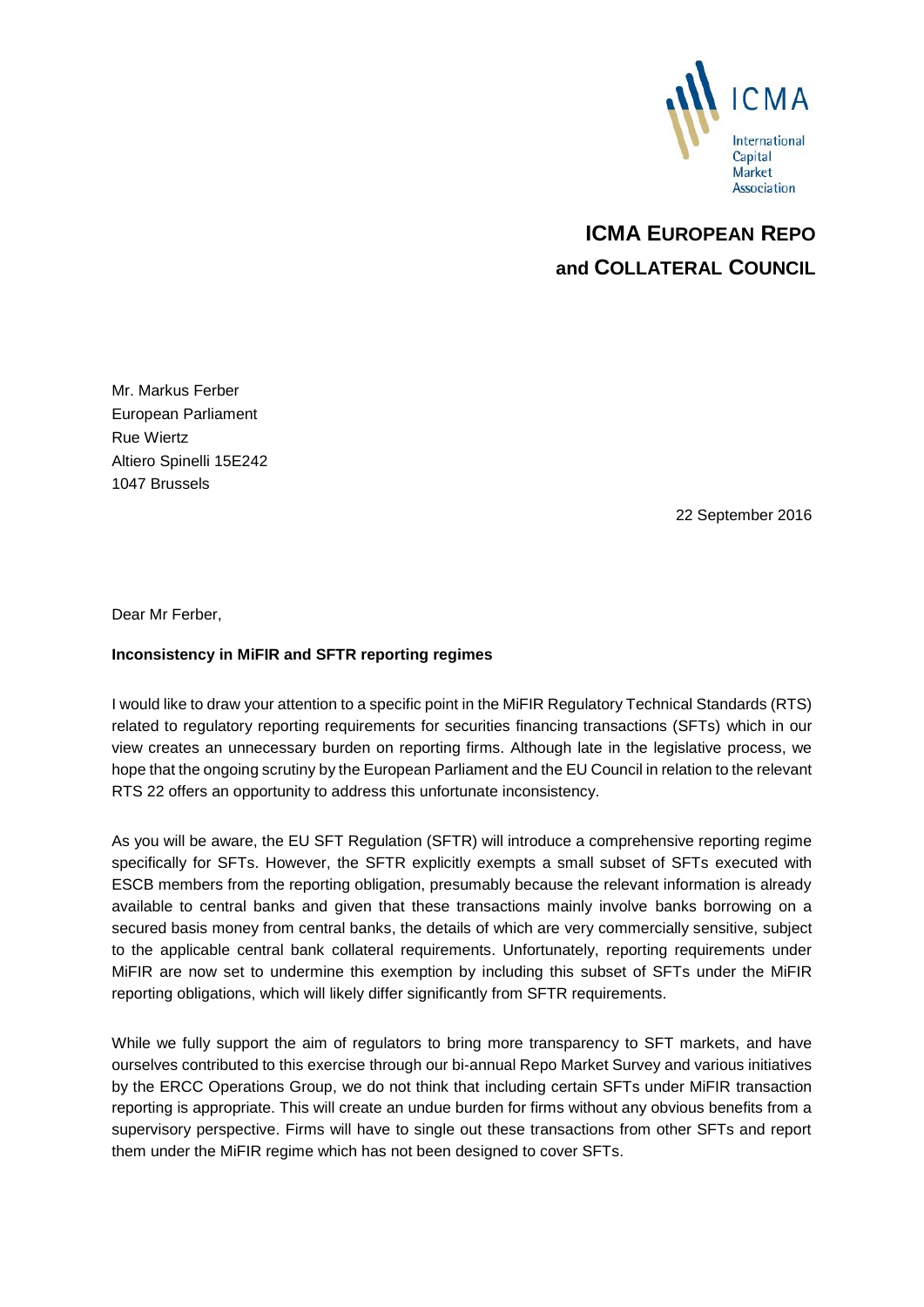

# **ICMA EUROPEAN REPO and COLLATERAL COUNCIL**

Mr. Markus Ferber European Parliament Rue Wiertz Altiero Spinelli 15E242 1047 Brussels

22 September 2016

Dear Mr Ferber,

## **Inconsistency in MiFIR and SFTR reporting regimes**

I would like to draw your attention to a specific point in the MiFIR Regulatory Technical Standards (RTS) related to regulatory reporting requirements for securities financing transactions (SFTs) which in our view creates an unnecessary burden on reporting firms. Although late in the legislative process, we hope that the ongoing scrutiny by the European Parliament and the EU Council in relation to the relevant RTS 22 offers an opportunity to address this unfortunate inconsistency.

As you will be aware, the EU SFT Regulation (SFTR) will introduce a comprehensive reporting regime specifically for SFTs. However, the SFTR explicitly exempts a small subset of SFTs executed with ESCB members from the reporting obligation, presumably because the relevant information is already available to central banks and given that these transactions mainly involve banks borrowing on a secured basis money from central banks, the details of which are very commercially sensitive, subject to the applicable central bank collateral requirements. Unfortunately, reporting requirements under MiFIR are now set to undermine this exemption by including this subset of SFTs under the MiFIR reporting obligations, which will likely differ significantly from SFTR requirements.

While we fully support the aim of regulators to bring more transparency to SFT markets, and have ourselves contributed to this exercise through our bi-annual Repo Market Survey and various initiatives by the ERCC Operations Group, we do not think that including certain SFTs under MiFIR transaction reporting is appropriate. This will create an undue burden for firms without any obvious benefits from a supervisory perspective. Firms will have to single out these transactions from other SFTs and report them under the MiFIR regime which has not been designed to cover SFTs.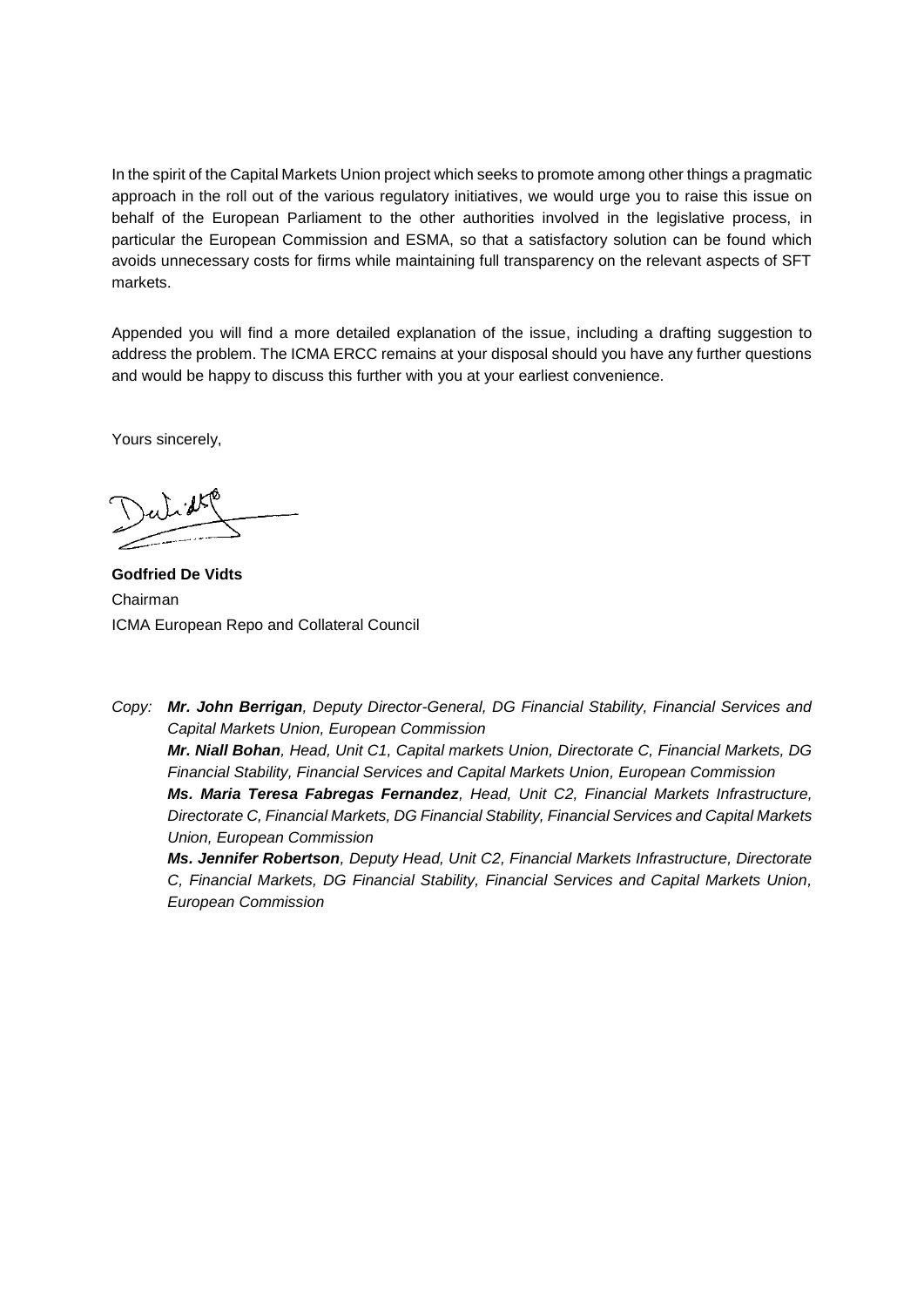In the spirit of the Capital Markets Union project which seeks to promote among other things a pragmatic approach in the roll out of the various regulatory initiatives, we would urge you to raise this issue on behalf of the European Parliament to the other authorities involved in the legislative process, in particular the European Commission and ESMA, so that a satisfactory solution can be found which avoids unnecessary costs for firms while maintaining full transparency on the relevant aspects of SFT markets.

Appended you will find a more detailed explanation of the issue, including a drafting suggestion to address the problem. The ICMA ERCC remains at your disposal should you have any further questions and would be happy to discuss this further with you at your earliest convenience.

Yours sincerely,

**Godfried De Vidts**  Chairman ICMA European Repo and Collateral Council

*European Commission*

*Copy: Mr. John Berrigan, Deputy Director-General, DG Financial Stability, Financial Services and Capital Markets Union, European Commission Mr. Niall Bohan, Head, Unit C1, Capital markets Union, Directorate C, Financial Markets, DG Financial Stability, Financial Services and Capital Markets Union, European Commission Ms. Maria Teresa Fabregas Fernandez, Head, Unit C2, Financial Markets Infrastructure, Directorate C, Financial Markets, DG Financial Stability, Financial Services and Capital Markets Union, European Commission Ms. Jennifer Robertson, Deputy Head, Unit C2, Financial Markets Infrastructure, Directorate C, Financial Markets, DG Financial Stability, Financial Services and Capital Markets Union,*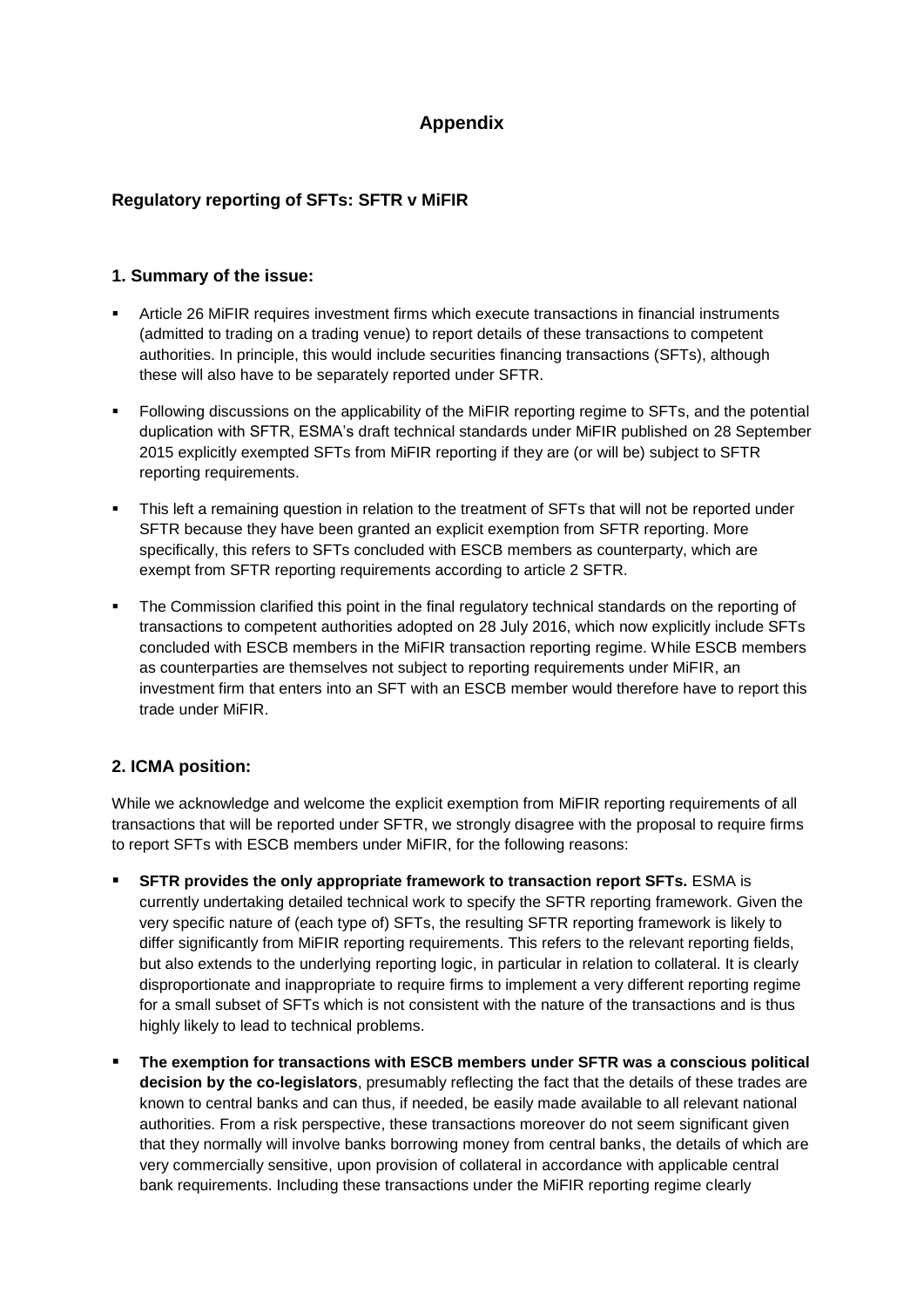# **Appendix**

# **Regulatory reporting of SFTs: SFTR v MiFIR**

# **1. Summary of the issue:**

- Article 26 MiFIR requires investment firms which execute transactions in financial instruments (admitted to trading on a trading venue) to report details of these transactions to competent authorities. In principle, this would include securities financing transactions (SFTs), although these will also have to be separately reported under SFTR.
- Following discussions on the applicability of the MiFIR reporting regime to SFTs, and the potential duplication with SFTR, ESMA's draft technical standards under MiFIR published on 28 September 2015 explicitly exempted SFTs from MiFIR reporting if they are (or will be) subject to SFTR reporting requirements.
- This left a remaining question in relation to the treatment of SFTs that will not be reported under SFTR because they have been granted an explicit exemption from SFTR reporting. More specifically, this refers to SFTs concluded with ESCB members as counterparty, which are exempt from SFTR reporting requirements according to article 2 SFTR.
- The Commission clarified this point in the final regulatory technical standards on the reporting of transactions to competent authorities adopted on 28 July 2016, which now explicitly include SFTs concluded with ESCB members in the MiFIR transaction reporting regime. While ESCB members as counterparties are themselves not subject to reporting requirements under MiFIR, an investment firm that enters into an SFT with an ESCB member would therefore have to report this trade under MiFIR.

# **2. ICMA position:**

While we acknowledge and welcome the explicit exemption from MiFIR reporting requirements of all transactions that will be reported under SFTR, we strongly disagree with the proposal to require firms to report SFTs with ESCB members under MiFIR, for the following reasons:

- **SFTR provides the only appropriate framework to transaction report SFTs.** ESMA is currently undertaking detailed technical work to specify the SFTR reporting framework. Given the very specific nature of (each type of) SFTs, the resulting SFTR reporting framework is likely to differ significantly from MiFIR reporting requirements. This refers to the relevant reporting fields, but also extends to the underlying reporting logic, in particular in relation to collateral. It is clearly disproportionate and inappropriate to require firms to implement a very different reporting regime for a small subset of SFTs which is not consistent with the nature of the transactions and is thus highly likely to lead to technical problems.
- **The exemption for transactions with ESCB members under SFTR was a conscious political decision by the co-legislators**, presumably reflecting the fact that the details of these trades are known to central banks and can thus, if needed, be easily made available to all relevant national authorities. From a risk perspective, these transactions moreover do not seem significant given that they normally will involve banks borrowing money from central banks, the details of which are very commercially sensitive, upon provision of collateral in accordance with applicable central bank requirements. Including these transactions under the MiFIR reporting regime clearly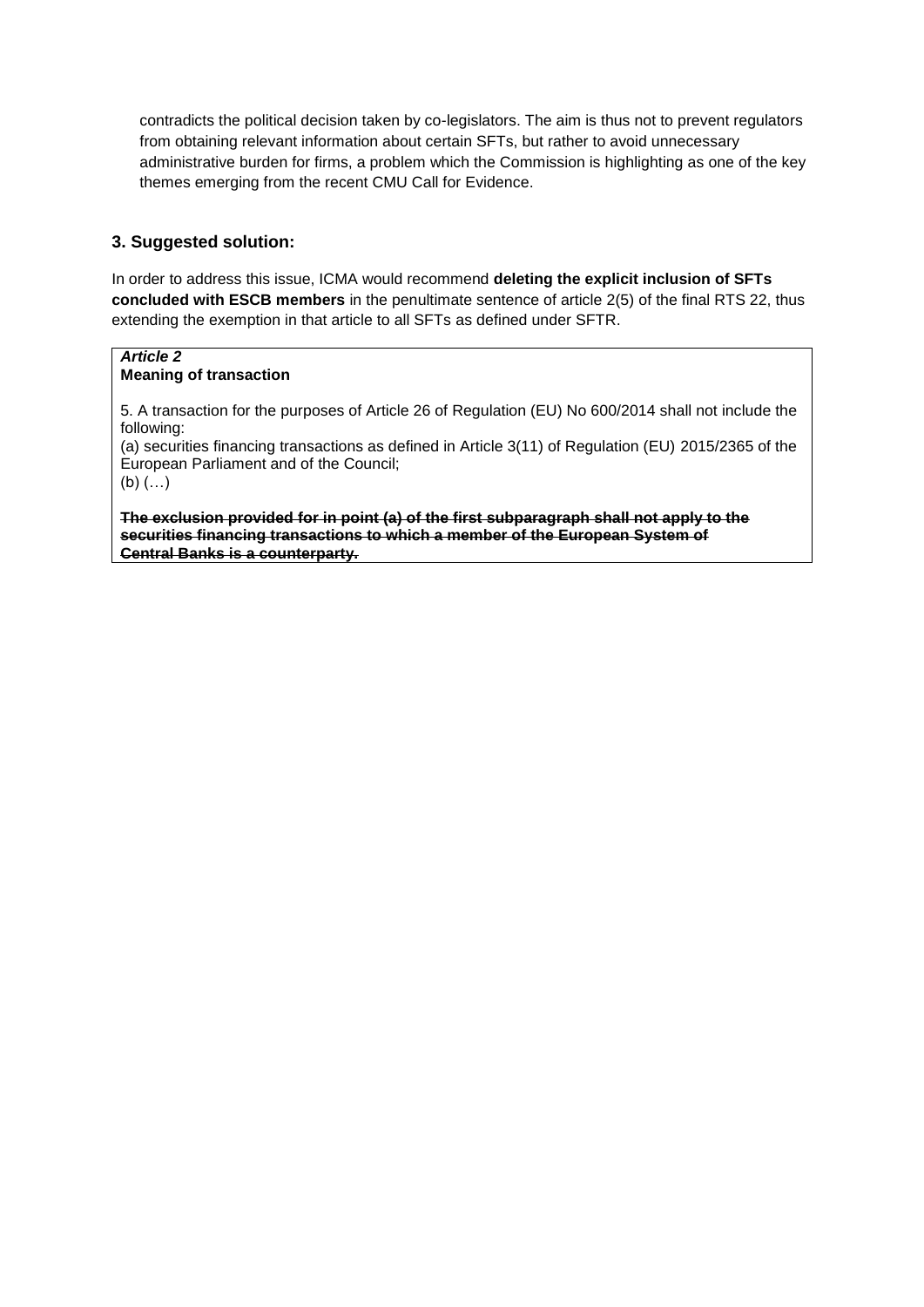contradicts the political decision taken by co-legislators. The aim is thus not to prevent regulators from obtaining relevant information about certain SFTs, but rather to avoid unnecessary administrative burden for firms, a problem which the Commission is highlighting as one of the key themes emerging from the recent CMU Call for Evidence.

# **3. Suggested solution:**

In order to address this issue, ICMA would recommend **deleting the explicit inclusion of SFTs concluded with ESCB members** in the penultimate sentence of article 2(5) of the final RTS 22, thus extending the exemption in that article to all SFTs as defined under SFTR.

## *Article 2* **Meaning of transaction**

5. A transaction for the purposes of Article 26 of Regulation (EU) No 600/2014 shall not include the following:

(a) securities financing transactions as defined in Article 3(11) of Regulation (EU) 2015/2365 of the European Parliament and of the Council;

(b) (…)

**The exclusion provided for in point (a) of the first subparagraph shall not apply to the securities financing transactions to which a member of the European System of Central Banks is a counterparty.**